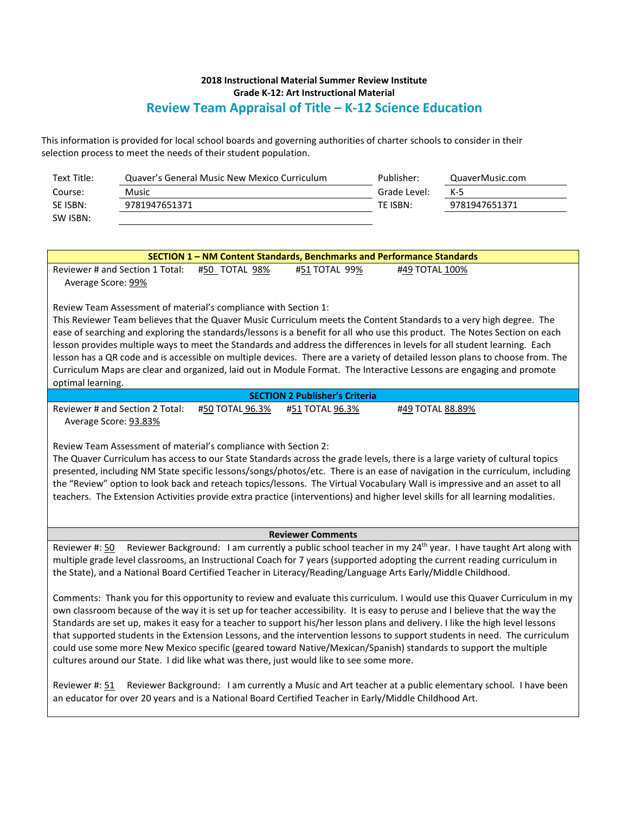## **2018 Instructional Material Summer Review Institute Grade K-12: Art Instructional Material Review Team Appraisal of Title – K-12 Science Education**

This information is provided for local school boards and governing authorities of charter schools to consider in their selection process to meet the needs of their student population.

| Text Title: | Quaver's General Music New Mexico Curriculum | Publisher:   | QuaverMusic.com |
|-------------|----------------------------------------------|--------------|-----------------|
| Course:     | Music                                        | Grade Level: | $K-5$           |
| SE ISBN:    | 9781947651371                                | TE ISBN:     | 9781947651371   |
| SW ISBN:    |                                              |              |                 |

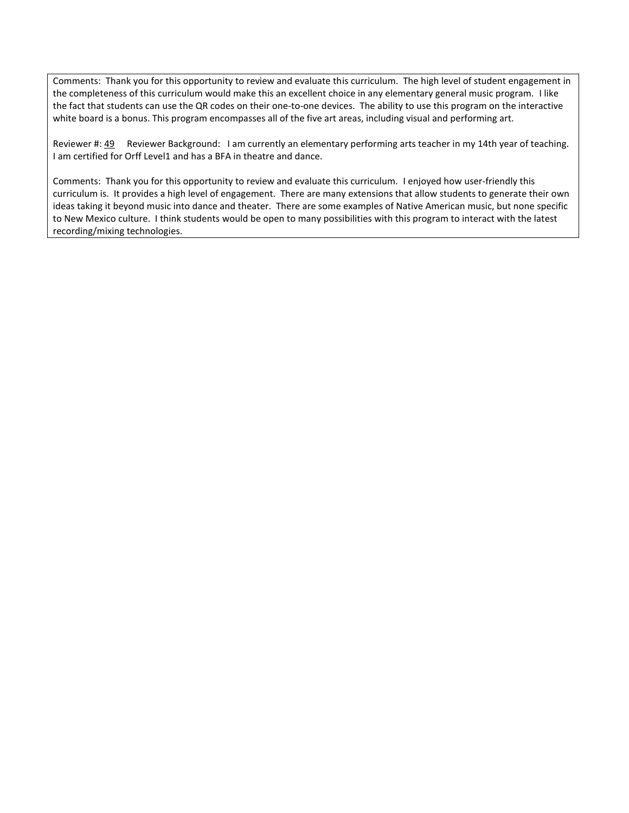Comments: Thank you for this opportunity to review and evaluate this curriculum. The high level of student engagement in the completeness of this curriculum would make this an excellent choice in any elementary general music program. I like the fact that students can use the QR codes on their one-to-one devices. The ability to use this program on the interactive white board is a bonus. This program encompasses all of the five art areas, including visual and performing art.

Reviewer #: 49 Reviewer Background: I am currently an elementary performing arts teacher in my 14th year of teaching. I am certified for Orff Level1 and has a BFA in theatre and dance.

Comments: Thank you for this opportunity to review and evaluate this curriculum. I enjoyed how user-friendly this curriculum is. It provides a high level of engagement. There are many extensions that allow students to generate their own ideas taking it beyond music into dance and theater. There are some examples of Native American music, but none specific to New Mexico culture. I think students would be open to many possibilities with this program to interact with the latest recording/mixing technologies.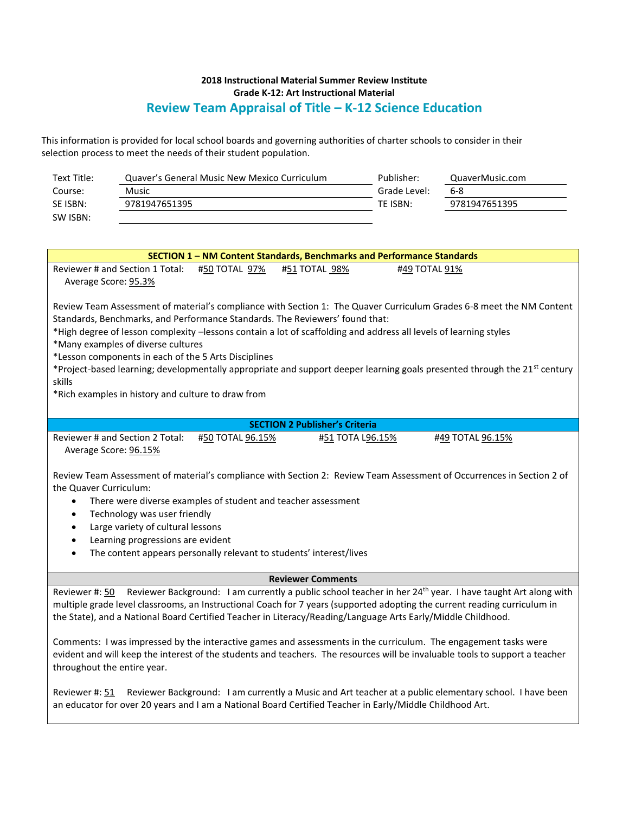## **2018 Instructional Material Summer Review Institute Grade K-12: Art Instructional Material Review Team Appraisal of Title – K-12 Science Education**

This information is provided for local school boards and governing authorities of charter schools to consider in their selection process to meet the needs of their student population.

| Text Title:                                                                                                                              |                                 | Quaver's General Music New Mexico Curriculum       |                                                                     | Publisher:   | QuaverMusic.com                                                                                                       |  |  |  |
|------------------------------------------------------------------------------------------------------------------------------------------|---------------------------------|----------------------------------------------------|---------------------------------------------------------------------|--------------|-----------------------------------------------------------------------------------------------------------------------|--|--|--|
| Course:                                                                                                                                  | Music                           |                                                    |                                                                     | Grade Level: | $6-8$                                                                                                                 |  |  |  |
| SE ISBN:                                                                                                                                 | 9781947651395                   |                                                    |                                                                     | TE ISBN:     | 9781947651395                                                                                                         |  |  |  |
| SW ISBN:                                                                                                                                 |                                 |                                                    |                                                                     |              |                                                                                                                       |  |  |  |
|                                                                                                                                          |                                 |                                                    |                                                                     |              |                                                                                                                       |  |  |  |
|                                                                                                                                          |                                 |                                                    |                                                                     |              |                                                                                                                       |  |  |  |
| SECTION 1 - NM Content Standards, Benchmarks and Performance Standards                                                                   |                                 |                                                    |                                                                     |              |                                                                                                                       |  |  |  |
| Reviewer # and Section 1 Total:<br>#50 TOTAL 97%<br>#51 TOTAL 98%<br>#49 TOTAL 91%                                                       |                                 |                                                    |                                                                     |              |                                                                                                                       |  |  |  |
| Average Score: 95.3%                                                                                                                     |                                 |                                                    |                                                                     |              |                                                                                                                       |  |  |  |
|                                                                                                                                          |                                 |                                                    |                                                                     |              |                                                                                                                       |  |  |  |
| Review Team Assessment of material's compliance with Section 1: The Quaver Curriculum Grades 6-8 meet the NM Content                     |                                 |                                                    |                                                                     |              |                                                                                                                       |  |  |  |
| Standards, Benchmarks, and Performance Standards. The Reviewers' found that:                                                             |                                 |                                                    |                                                                     |              |                                                                                                                       |  |  |  |
| *High degree of lesson complexity -lessons contain a lot of scaffolding and address all levels of learning styles                        |                                 |                                                    |                                                                     |              |                                                                                                                       |  |  |  |
| *Many examples of diverse cultures                                                                                                       |                                 |                                                    |                                                                     |              |                                                                                                                       |  |  |  |
| *Lesson components in each of the 5 Arts Disciplines                                                                                     |                                 |                                                    |                                                                     |              |                                                                                                                       |  |  |  |
| *Project-based learning; developmentally appropriate and support deeper learning goals presented through the 21 <sup>st</sup> century    |                                 |                                                    |                                                                     |              |                                                                                                                       |  |  |  |
| skills                                                                                                                                   |                                 |                                                    |                                                                     |              |                                                                                                                       |  |  |  |
|                                                                                                                                          |                                 | *Rich examples in history and culture to draw from |                                                                     |              |                                                                                                                       |  |  |  |
|                                                                                                                                          |                                 |                                                    |                                                                     |              |                                                                                                                       |  |  |  |
|                                                                                                                                          |                                 |                                                    | <b>SECTION 2 Publisher's Criteria</b>                               |              |                                                                                                                       |  |  |  |
|                                                                                                                                          | Reviewer # and Section 2 Total: | #50 TOTAL 96.15%                                   | #51 TOTA L96.15%                                                    |              | #49 TOTAL 96.15%                                                                                                      |  |  |  |
| Average Score: 96.15%                                                                                                                    |                                 |                                                    |                                                                     |              |                                                                                                                       |  |  |  |
|                                                                                                                                          |                                 |                                                    |                                                                     |              |                                                                                                                       |  |  |  |
|                                                                                                                                          |                                 |                                                    |                                                                     |              | Review Team Assessment of material's compliance with Section 2: Review Team Assessment of Occurrences in Section 2 of |  |  |  |
| the Quaver Curriculum:                                                                                                                   |                                 |                                                    |                                                                     |              |                                                                                                                       |  |  |  |
| $\bullet$                                                                                                                                |                                 |                                                    | There were diverse examples of student and teacher assessment       |              |                                                                                                                       |  |  |  |
| Technology was user friendly<br>$\bullet$                                                                                                |                                 |                                                    |                                                                     |              |                                                                                                                       |  |  |  |
| Large variety of cultural lessons<br>$\bullet$                                                                                           |                                 |                                                    |                                                                     |              |                                                                                                                       |  |  |  |
| Learning progressions are evident<br>$\bullet$                                                                                           |                                 |                                                    |                                                                     |              |                                                                                                                       |  |  |  |
| $\bullet$                                                                                                                                |                                 |                                                    | The content appears personally relevant to students' interest/lives |              |                                                                                                                       |  |  |  |
|                                                                                                                                          |                                 |                                                    |                                                                     |              |                                                                                                                       |  |  |  |
| <b>Reviewer Comments</b>                                                                                                                 |                                 |                                                    |                                                                     |              |                                                                                                                       |  |  |  |
| Reviewer Background: I am currently a public school teacher in her 24 <sup>th</sup> year. I have taught Art along with<br>Reviewer #: 50 |                                 |                                                    |                                                                     |              |                                                                                                                       |  |  |  |
| multiple grade level classrooms, an Instructional Coach for 7 years (supported adopting the current reading curriculum in                |                                 |                                                    |                                                                     |              |                                                                                                                       |  |  |  |
| the State), and a National Board Certified Teacher in Literacy/Reading/Language Arts Early/Middle Childhood.                             |                                 |                                                    |                                                                     |              |                                                                                                                       |  |  |  |
| Comments: I was impressed by the interactive games and assessments in the curriculum. The engagement tasks were                          |                                 |                                                    |                                                                     |              |                                                                                                                       |  |  |  |
| evident and will keep the interest of the students and teachers. The resources will be invaluable tools to support a teacher             |                                 |                                                    |                                                                     |              |                                                                                                                       |  |  |  |
| throughout the entire year.                                                                                                              |                                 |                                                    |                                                                     |              |                                                                                                                       |  |  |  |
|                                                                                                                                          |                                 |                                                    |                                                                     |              |                                                                                                                       |  |  |  |

Reviewer #: 51 Reviewer Background: I am currently a Music and Art teacher at a public elementary school. I have been an educator for over 20 years and I am a National Board Certified Teacher in Early/Middle Childhood Art.